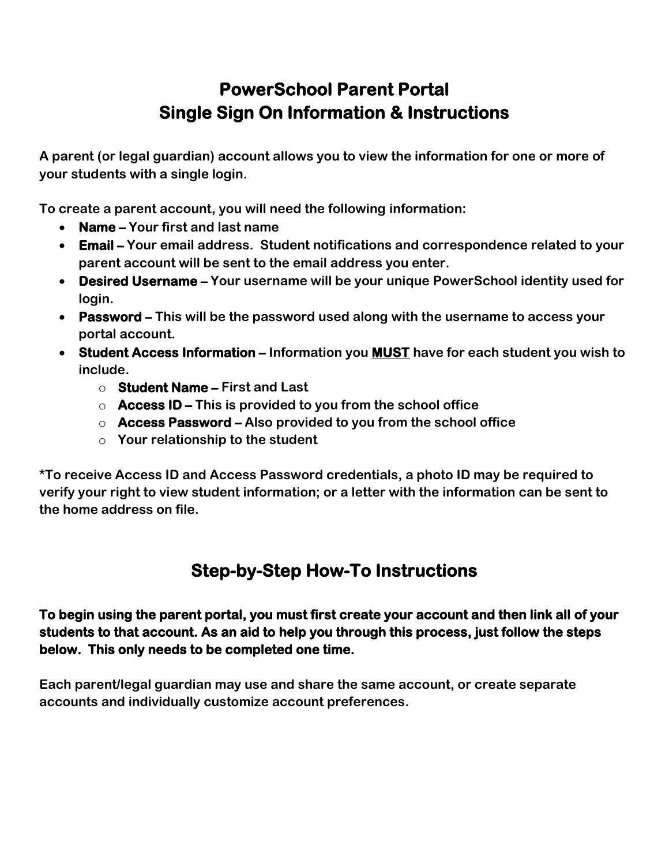### **PowerSchool Parent Portal Single Sign On Information & Instructions**

**A parent (or legal guardian) account allows you to view the information for one or more of your students with a single login.**

**To create a parent account, you will need the following information:**

- **Name – Your first and last name**
- **Email – Your email address. Student notifications and correspondence related to your parent account will be sent to the email address you enter.**
- **Desired Username – Your username will be your unique PowerSchool identity used for login.**
- **Password – This will be the password used along with the username to access your portal account.**
- **Student Access Information – Information you MUST have for each student you wish to include.**
	- o **Student Name – First and Last**
	- o **Access ID – This is provided to you from the school office**
	- o **Access Password – Also provided to you from the school office**
	- o **Your relationship to the student**

**\*To receive Access ID and Access Password credentials, a photo ID may be required to verify your right to view student information; or a letter with the information can be sent to the home address on file.**

## **Step-by-Step How-To Instructions**

**To begin using the parent portal, you must first create your account and then link all of your students to that account. As an aid to help you through this process, just follow the steps below. This only needs to be completed one time.** 

**Each parent/legal guardian may use and share the same account, or create separate accounts and individually customize account preferences.**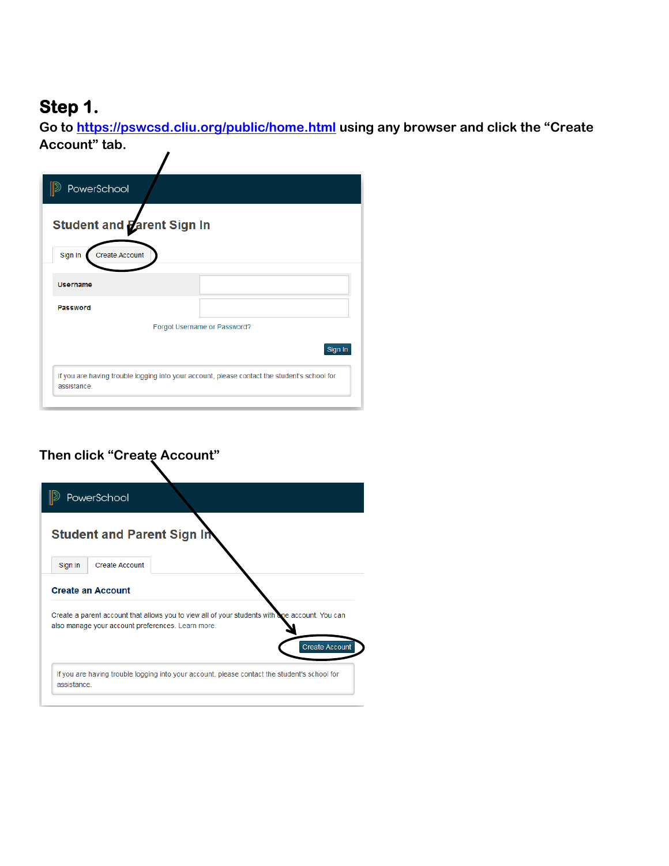## **Step 1.**

**Go to<https://pswcsd.cliu.org/public/home.html> using any browser and click the "Create Account" tab.**  $\overline{I}$ 

| <b>Student and Parent Sign In</b> |                              |
|-----------------------------------|------------------------------|
| Sign In<br><b>Create Account</b>  |                              |
| <b>Username</b>                   |                              |
| Password                          |                              |
|                                   | Forgot Username or Password? |
|                                   | Sign In                      |

# **Then click "Create Account"**

| PowerSchool              |                                                                                                                                                     |                       |
|--------------------------|-----------------------------------------------------------------------------------------------------------------------------------------------------|-----------------------|
|                          | <b>Student and Parent Sign In</b>                                                                                                                   |                       |
| Sign In                  | Create Account                                                                                                                                      |                       |
| <b>Create an Account</b> |                                                                                                                                                     |                       |
|                          | Create a parent account that allows you to view all of your students with the account. You can<br>also manage your account preferences. Learn more. | <b>Create Account</b> |
|                          | If you are having trouble logging into your account, please contact the student's school for                                                        |                       |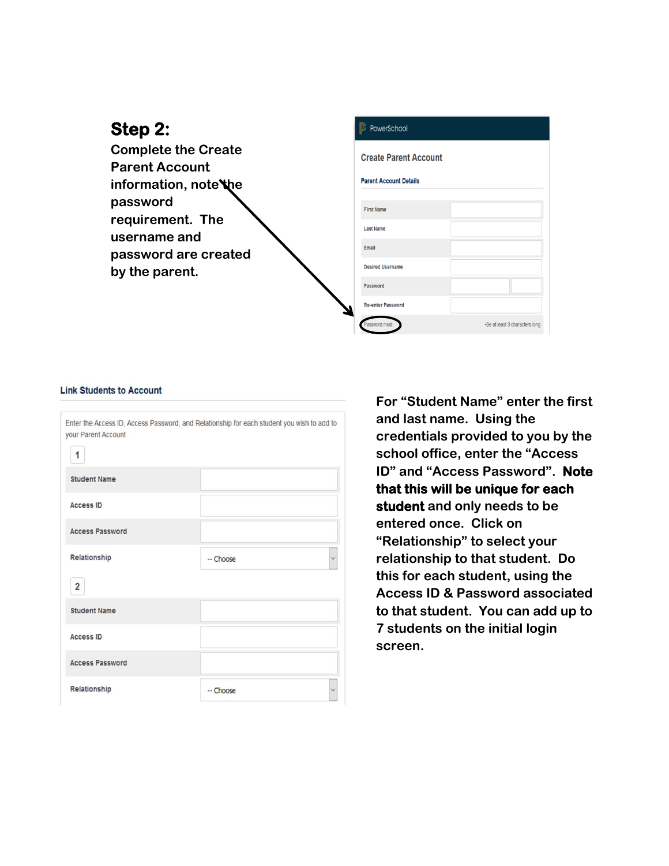| Step 2:                           | PowerSchool                         |                                |
|-----------------------------------|-------------------------------------|--------------------------------|
| <b>Complete the Create</b>        | <b>Create Parent Account</b>        |                                |
| <b>Parent Account</b>             | <b>Parent Account Details</b>       |                                |
| information, note the<br>password |                                     |                                |
| requirement. The                  | <b>First Name</b>                   |                                |
| username and                      | <b>Last Name</b>                    |                                |
| password are created              | Email                               |                                |
| by the parent.                    | <b>Desired Username</b><br>Password |                                |
|                                   | <b>Re-enter Password</b>            |                                |
|                                   | Password mu:                        | •Be at least 3 characters long |

#### **Link Students to Account**

| your Parent Account<br>1 | Enter the Access ID, Access Password, and Relationship for each student you wish to add to |
|--------------------------|--------------------------------------------------------------------------------------------|
|                          |                                                                                            |
| <b>Student Name</b>      |                                                                                            |
| <b>Access ID</b>         |                                                                                            |
| <b>Access Password</b>   |                                                                                            |
| Relationship             | -- Choose                                                                                  |
| 2                        |                                                                                            |
| <b>Student Name</b>      |                                                                                            |
| <b>Access ID</b>         |                                                                                            |
| <b>Access Password</b>   |                                                                                            |
| Relationship             | -- Choose<br>$\checkmark$                                                                  |

**For "Student Name" enter the first and last name. Using the credentials provided to you by the school office, enter the "Access ID" and "Access Password". Note that this will be unique for each student and only needs to be entered once. Click on "Relationship" to select your relationship to that student. Do this for each student, using the Access ID & Password associated to that student. You can add up to 7 students on the initial login screen.**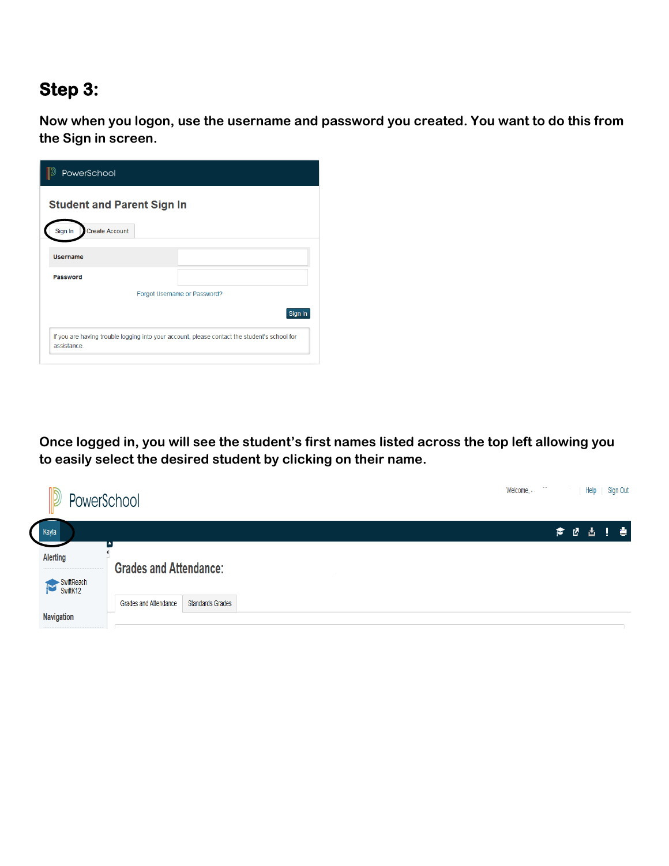### **Step 3:**

**Now when you logon, use the username and password you created. You want to do this from the Sign in screen.** 

|                                  | <b>Student and Parent Sign In</b>                                                            |
|----------------------------------|----------------------------------------------------------------------------------------------|
| Sign In<br><b>Create Account</b> |                                                                                              |
| <b>Username</b>                  |                                                                                              |
| <b>Password</b>                  |                                                                                              |
|                                  | Forgot Username or Password?                                                                 |
|                                  | Sign In                                                                                      |
| assistance                       | If you are having trouble logging into your account, please contact the student's school for |

**Once logged in, you will see the student's first names listed across the top left allowing you to easily select the desired student by clicking on their name.**

| PowerSchool              |                               |                         |  | 77<br>Welcome, |  | Help       | Sign Out |  |
|--------------------------|-------------------------------|-------------------------|--|----------------|--|------------|----------|--|
| Kayla                    |                               |                         |  |                |  | 10 日 日 日 朝 |          |  |
| Alerting                 | <b>Grades and Attendance:</b> |                         |  |                |  |            |          |  |
| - SwiftReach<br>SwiftK12 |                               |                         |  |                |  |            |          |  |
| <b>Navigation</b>        | Grades and Attendance         | <b>Standards Grades</b> |  |                |  |            |          |  |